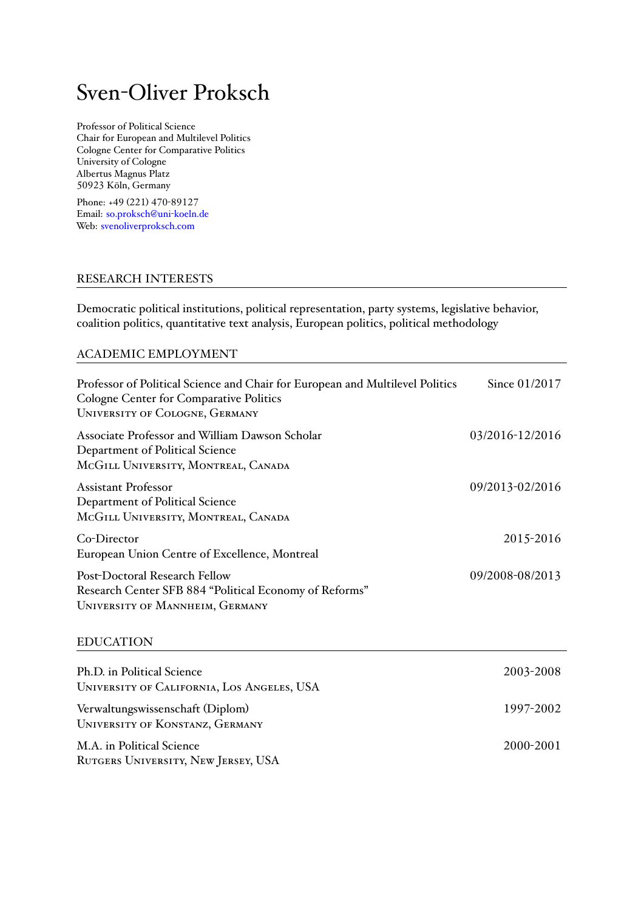# Sven-Oliver Proksch

Professor of Political Science Chair for European and Multilevel Politics Cologne Center for Comparative Politics University of Cologne Albertus Magnus Platz 50923 Köln, Germany

Phone: +49 (221) 470-89127 Email: so.proksch@uni-koeln.de Web: svenoliverproksch.com

# RES[EARCH INTERES](http://www.svenoliverproksch.com)TS

Democratic political institutions, political representation, party systems, legislative behavior, coalition politics, quantitative text analysis, European politics, political methodology

# ACADEMIC EMPLOYMENT

| Professor of Political Science and Chair for European and Multilevel Politics<br><b>Cologne Center for Comparative Politics</b><br><b>UNIVERSITY OF COLOGNE, GERMANY</b> | Since 01/2017   |
|--------------------------------------------------------------------------------------------------------------------------------------------------------------------------|-----------------|
| Associate Professor and William Dawson Scholar<br>Department of Political Science<br>MCGILL UNIVERSITY, MONTREAL, CANADA                                                 | 03/2016-12/2016 |
| <b>Assistant Professor</b><br>Department of Political Science<br>MCGILL UNIVERSITY, MONTREAL, CANADA                                                                     | 09/2013-02/2016 |
| Co-Director<br>European Union Centre of Excellence, Montreal                                                                                                             | 2015-2016       |
| Post-Doctoral Research Fellow<br>Research Center SFB 884 "Political Economy of Reforms"<br>UNIVERSITY OF MANNHEIM, GERMANY                                               | 09/2008-08/2013 |
| <b>EDUCATION</b>                                                                                                                                                         |                 |
| Ph.D. in Political Science<br>UNIVERSITY OF CALIFORNIA, LOS ANGELES, USA                                                                                                 | 2003-2008       |
| Verwaltungswissenschaft (Diplom)<br><b>UNIVERSITY OF KONSTANZ, GERMANY</b>                                                                                               | 1997-2002       |
| M.A. in Political Science<br>RUTGERS UNIVERSITY, NEW JERSEY, USA                                                                                                         | 2000-2001       |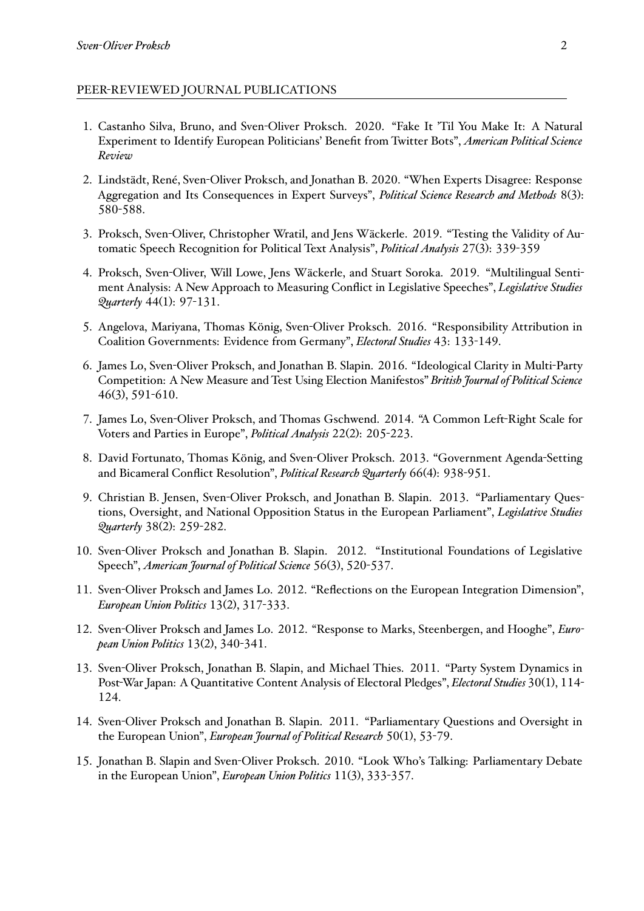### PEER-REVIEWED JOURNAL PUBLICATIONS

- 1. Castanho Silva, Bruno, and Sven-Oliver Proksch. 2020. "Fake It 'Til You Make It: A Natural Experiment to Identify European Politicians' Benefit from Twitter Bots", *American Political Science Review*
- 2. Lindstädt, René, Sven-Oliver Proksch, and Jonathan B. 2020. "When Experts Disagree: Response Aggregation and Its Consequences in Expert Surveys", *Political Science Research and Methods* 8(3): 580-588.
- 3. Proksch, Sven-Oliver, Christopher Wratil, and Jens Wäckerle. 2019. "Testing the Validity of Automatic Speech Recognition for Political Text Analysis", *Political Analysis* 27(3): 339-359
- 4. Proksch, Sven-Oliver, Will Lowe, Jens Wäckerle, and Stuart Soroka. 2019. "Multilingual Sentiment Analysis: A New Approach to Measuring Conflict in Legislative Speeches", *Legislative Studies Quarterly* 44(1): 97-131.
- 5. Angelova, Mariyana, Thomas König, Sven-Oliver Proksch. 2016. "Responsibility Attribution in Coalition Governments: Evidence from Germany", *Electoral Studies* 43: 133-149.
- 6. James Lo, Sven-Oliver Proksch, and Jonathan B. Slapin. 2016. "Ideological Clarity in Multi-Party Competition: A New Measure and Test Using Election Manifestos" *British Journal of Political Science* 46(3), 591-610.
- 7. James Lo, Sven-Oliver Proksch, and Thomas Gschwend. 2014. "A Common Left-Right Scale for Voters and Parties in Europe", *Political Analysis* 22(2): 205-223.
- 8. David Fortunato, Thomas König, and Sven-Oliver Proksch. 2013. "Government Agenda-Setting and Bicameral Conflict Resolution", *Political Research Quarterly* 66(4): 938-951.
- 9. Christian B. Jensen, Sven-Oliver Proksch, and Jonathan B. Slapin. 2013. "Parliamentary Questions, Oversight, and National Opposition Status in the European Parliament", *Legislative Studies Quarterly* 38(2): 259-282.
- 10. Sven-Oliver Proksch and Jonathan B. Slapin. 2012. "Institutional Foundations of Legislative Speech", *American Journal of Political Science* 56(3), 520-537.
- 11. Sven-Oliver Proksch and James Lo. 2012. "Reflections on the European Integration Dimension", *European Union Politics* 13(2), 317-333.
- 12. Sven-Oliver Proksch and James Lo. 2012. "Response to Marks, Steenbergen, and Hooghe", *European Union Politics* 13(2), 340-341.
- 13. Sven-Oliver Proksch, Jonathan B. Slapin, and Michael Thies. 2011. "Party System Dynamics in Post-War Japan: A Quantitative Content Analysis of Electoral Pledges", *Electoral Studies* 30(1), 114- 124.
- 14. Sven-Oliver Proksch and Jonathan B. Slapin. 2011. "Parliamentary Questions and Oversight in the European Union", *European Journal of Political Research* 50(1), 53-79.
- 15. Jonathan B. Slapin and Sven-Oliver Proksch. 2010. "Look Who's Talking: Parliamentary Debate in the European Union", *European Union Politics* 11(3), 333-357.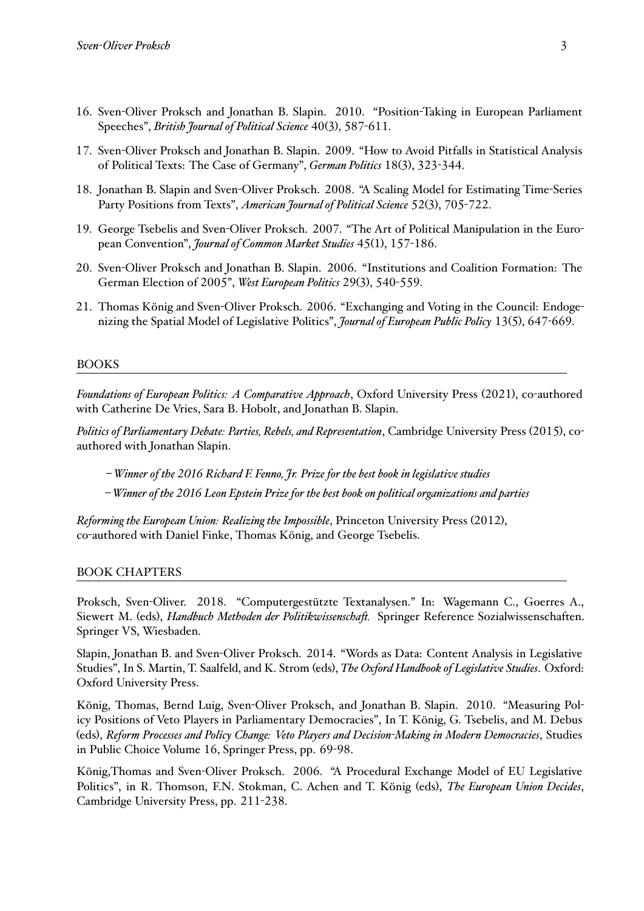- 16. Sven-Oliver Proksch and Jonathan B. Slapin. 2010. "Position-Taking in European Parliament Speeches", *British Journal of Political Science* 40(3), 587-611.
- 17. Sven-Oliver Proksch and Jonathan B. Slapin. 2009. "How to Avoid Pitfalls in Statistical Analysis of Political Texts: The Case of Germany", *German Politics* 18(3), 323-344.
- 18. Jonathan B. Slapin and Sven-Oliver Proksch. 2008. "A Scaling Model for Estimating Time-Series Party Positions from Texts", *American Journal of Political Science* 52(3), 705-722.
- 19. George Tsebelis and Sven-Oliver Proksch. 2007. "The Art of Political Manipulation in the European Convention", *Journal of Common Market Studies* 45(1), 157-186.
- 20. Sven-Oliver Proksch and Jonathan B. Slapin. 2006. "Institutions and Coalition Formation: The German Election of 2005", *West European Politics* 29(3), 540-559.
- 21. Thomas König and Sven-Oliver Proksch. 2006. "Exchanging and Voting in the Council: Endogenizing the Spatial Model of Legislative Politics", *Journal of European Public Policy* 13(5), 647-669.

### BOOKS

*Foundations of European Politics: A Comparative Approach*, Oxford University Press (2021), co-authored with Catherine De Vries, Sara B. Hobolt, and Jonathan B. Slapin.

*Politics of Parliamentary Debate: Parties, Rebels, and Representation*, Cambridge University Press (2015), coauthored with Jonathan Slapin.

*– Winner of the 2016 Richard F. Fenno, Jr. Prize for the best book in legislative studies*

*– Winner of the 2016 Leon Epstein Prize for the best book on political organizations and parties*

*Reforming the European Union: Realizing the Impossible*, Princeton University Press (2012), co-authored with Daniel Finke, Thomas König, and George Tsebelis.

#### BOOK CHAPTERS

Proksch, Sven-Oliver. 2018. "Computergestützte Textanalysen." In: Wagemann C., Goerres A., Siewert M. (eds), *Handbuch Methoden der Politikwissenschaft.* Springer Reference Sozialwissenschaften. Springer VS, Wiesbaden.

Slapin, Jonathan B. and Sven-Oliver Proksch. 2014. "Words as Data: Content Analysis in Legislative Studies", In S. Martin, T. Saalfeld, and K. Strom (eds), *The Oxford Handbook of Legislative Studies*. Oxford: Oxford University Press.

König, Thomas, Bernd Luig, Sven-Oliver Proksch, and Jonathan B. Slapin. 2010. "Measuring Policy Positions of Veto Players in Parliamentary Democracies", In T. König, G. Tsebelis, and M. Debus (eds), *Reform Processes and Policy Change: Veto Players and Decision-Making in Modern Democracies*, Studies in Public Choice Volume 16, Springer Press, pp. 69-98.

König,Thomas and Sven-Oliver Proksch. 2006. "A Procedural Exchange Model of EU Legislative Politics", in R. Thomson, F.N. Stokman, C. Achen and T. König (eds), *The European Union Decides*, Cambridge University Press, pp. 211-238.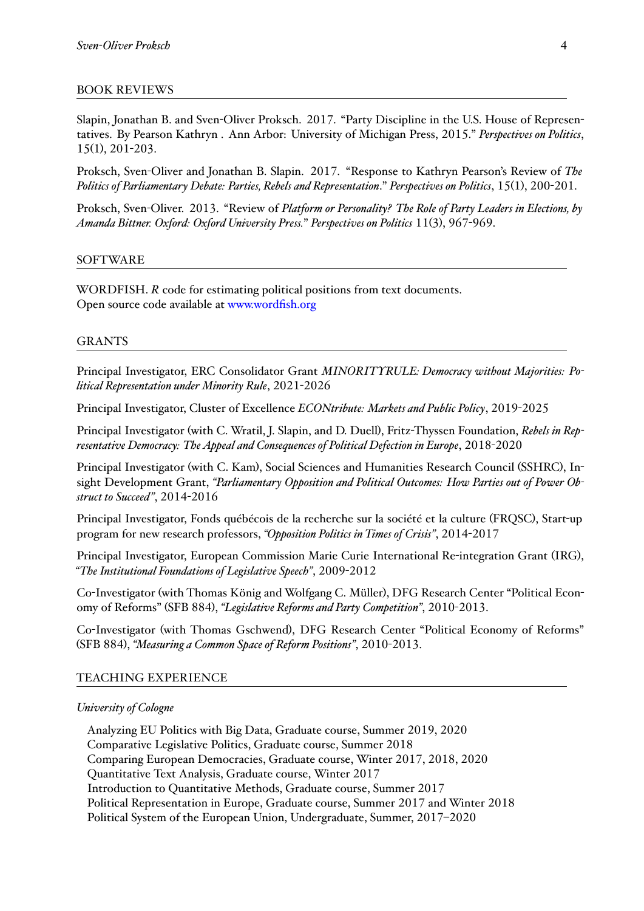## BOOK REVIEWS

Slapin, Jonathan B. and Sven-Oliver Proksch. 2017. "Party Discipline in the U.S. House of Representatives. By Pearson Kathryn . Ann Arbor: University of Michigan Press, 2015." *Perspectives on Politics*, 15(1), 201-203.

Proksch, Sven-Oliver and Jonathan B. Slapin. 2017. "Response to Kathryn Pearson's Review of *The Politics of Parliamentary Debate: Parties, Rebels and Representation*." *Perspectives on Politics*, 15(1), 200-201.

Proksch, Sven-Oliver. 2013. "Review of *Platform or Personality? The Role of Party Leaders in Elections, by Amanda Bittner. Oxford: Oxford University Press.*" *Perspectives on Politics* 11(3), 967-969.

## SOFTWARE

WORDFISH. *R* code for estimating political positions from text documents. Open source code available at www.wordfish.org

## GRANTS

Principal Investigator, ERC Consolidator Grant *MINORITYRULE: Democracy without Majorities: Political Representation under Minority Rule*, 2021-2026

Principal Investigator, Cluster of Excellence *ECONtribute: Markets and Public Policy*, 2019-2025

Principal Investigator (with C. Wratil, J. Slapin, and D. Duell), Fritz-Thyssen Foundation, *Rebels in Representative Democracy: The Appeal and Consequences of Political Defection in Europe*, 2018-2020

Principal Investigator (with C. Kam), Social Sciences and Humanities Research Council (SSHRC), Insight Development Grant, *"Parliamentary Opposition and Political Outcomes: How Parties out of Power Obstruct to Succeed"*, 2014-2016

Principal Investigator, Fonds québécois de la recherche sur la société et la culture (FRQSC), Start-up program for new research professors, *"Opposition Politics in Times of Crisis"*, 2014-2017

Principal Investigator, European Commission Marie Curie International Re-integration Grant (IRG), *"The Institutional Foundations of Legislative Speech"*, 2009-2012

Co-Investigator (with Thomas König and Wolfgang C. Müller), DFG Research Center "Political Economy of Reforms" (SFB 884), *"Legislative Reforms and Party Competition"*, 2010-2013.

Co-Investigator (with Thomas Gschwend), DFG Research Center "Political Economy of Reforms" (SFB 884), *"Measuring a Common Space of Reform Positions"*, 2010-2013.

#### TEACHING EXPERIENCE

#### *University of Cologne*

Analyzing EU Politics with Big Data, Graduate course, Summer 2019, 2020 Comparative Legislative Politics, Graduate course, Summer 2018 Comparing European Democracies, Graduate course, Winter 2017, 2018, 2020 Quantitative Text Analysis, Graduate course, Winter 2017 Introduction to Quantitative Methods, Graduate course, Summer 2017 Political Representation in Europe, Graduate course, Summer 2017 and Winter 2018 Political System of the European Union, Undergraduate, Summer, 2017–2020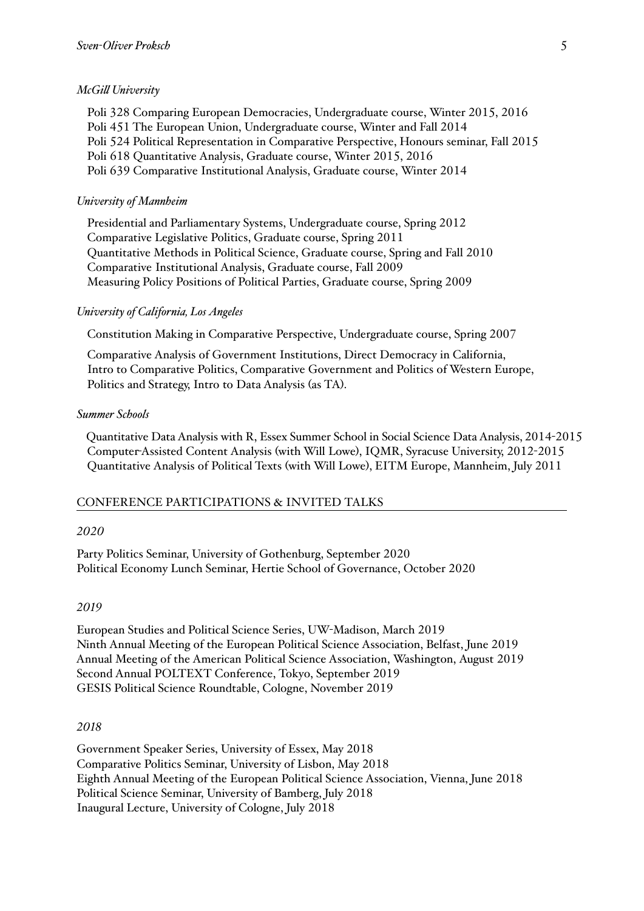### *McGill University*

Poli 328 Comparing European Democracies, Undergraduate course, Winter 2015, 2016 Poli 451 The European Union, Undergraduate course, Winter and Fall 2014 Poli 524 Political Representation in Comparative Perspective, Honours seminar, Fall 2015 Poli 618 Quantitative Analysis, Graduate course, Winter 2015, 2016 Poli 639 Comparative Institutional Analysis, Graduate course, Winter 2014

## *University of Mannheim*

Presidential and Parliamentary Systems, Undergraduate course, Spring 2012 Comparative Legislative Politics, Graduate course, Spring 2011 Quantitative Methods in Political Science, Graduate course, Spring and Fall 2010 Comparative Institutional Analysis, Graduate course, Fall 2009 Measuring Policy Positions of Political Parties, Graduate course, Spring 2009

#### *University of California, Los Angeles*

Constitution Making in Comparative Perspective, Undergraduate course, Spring 2007

Comparative Analysis of Government Institutions, Direct Democracy in California, Intro to Comparative Politics, Comparative Government and Politics of Western Europe, Politics and Strategy, Intro to Data Analysis (as TA).

#### *Summer Schools*

Quantitative Data Analysis with R, Essex Summer School in Social Science Data Analysis, 2014-2015 Computer-Assisted Content Analysis (with Will Lowe), IQMR, Syracuse University, 2012-2015 Quantitative Analysis of Political Texts (with Will Lowe), EITM Europe, Mannheim, July 2011

#### CONFERENCE PARTICIPATIONS & INVITED TALKS

#### *2020*

Party Politics Seminar, University of Gothenburg, September 2020 Political Economy Lunch Seminar, Hertie School of Governance, October 2020

#### *2019*

European Studies and Political Science Series, UW-Madison, March 2019 Ninth Annual Meeting of the European Political Science Association, Belfast, June 2019 Annual Meeting of the American Political Science Association, Washington, August 2019 Second Annual POLTEXT Conference, Tokyo, September 2019 GESIS Political Science Roundtable, Cologne, November 2019

#### *2018*

Government Speaker Series, University of Essex, May 2018 Comparative Politics Seminar, University of Lisbon, May 2018 Eighth Annual Meeting of the European Political Science Association, Vienna, June 2018 Political Science Seminar, University of Bamberg, July 2018 Inaugural Lecture, University of Cologne, July 2018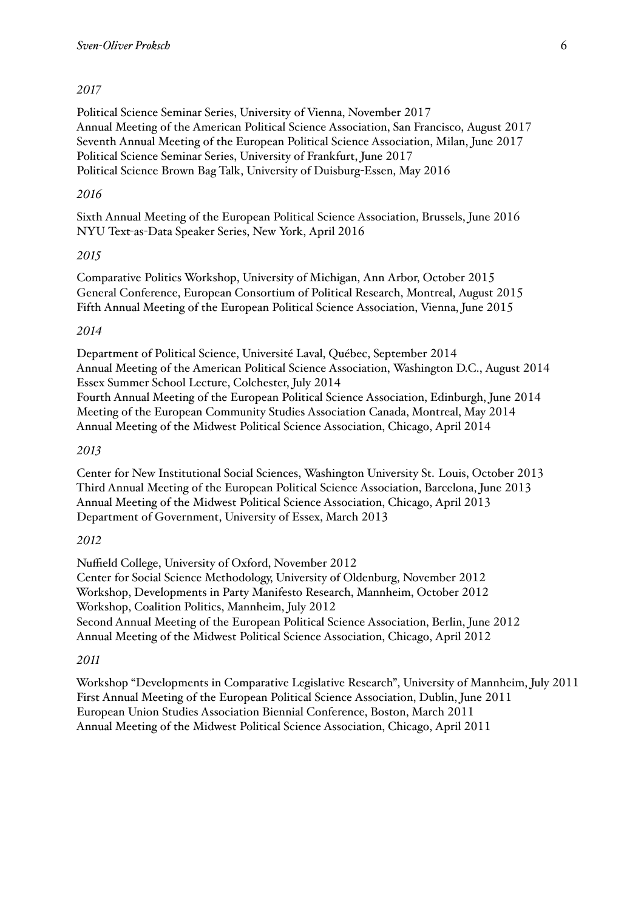# *2017*

Political Science Seminar Series, University of Vienna, November 2017 Annual Meeting of the American Political Science Association, San Francisco, August 2017 Seventh Annual Meeting of the European Political Science Association, Milan, June 2017 Political Science Seminar Series, University of Frankfurt, June 2017 Political Science Brown Bag Talk, University of Duisburg-Essen, May 2016

## *2016*

Sixth Annual Meeting of the European Political Science Association, Brussels, June 2016 NYU Text-as-Data Speaker Series, New York, April 2016

# *2015*

Comparative Politics Workshop, University of Michigan, Ann Arbor, October 2015 General Conference, European Consortium of Political Research, Montreal, August 2015 Fifth Annual Meeting of the European Political Science Association, Vienna, June 2015

# *2014*

Department of Political Science, Université Laval, Québec, September 2014 Annual Meeting of the American Political Science Association, Washington D.C., August 2014 Essex Summer School Lecture, Colchester, July 2014 Fourth Annual Meeting of the European Political Science Association, Edinburgh, June 2014 Meeting of the European Community Studies Association Canada, Montreal, May 2014 Annual Meeting of the Midwest Political Science Association, Chicago, April 2014

## *2013*

Center for New Institutional Social Sciences, Washington University St. Louis, October 2013 Third Annual Meeting of the European Political Science Association, Barcelona, June 2013 Annual Meeting of the Midwest Political Science Association, Chicago, April 2013 Department of Government, University of Essex, March 2013

## *2012*

Nuffield College, University of Oxford, November 2012 Center for Social Science Methodology, University of Oldenburg, November 2012 Workshop, Developments in Party Manifesto Research, Mannheim, October 2012 Workshop, Coalition Politics, Mannheim, July 2012 Second Annual Meeting of the European Political Science Association, Berlin, June 2012 Annual Meeting of the Midwest Political Science Association, Chicago, April 2012

## *2011*

Workshop "Developments in Comparative Legislative Research", University of Mannheim, July 2011 First Annual Meeting of the European Political Science Association, Dublin, June 2011 European Union Studies Association Biennial Conference, Boston, March 2011 Annual Meeting of the Midwest Political Science Association, Chicago, April 2011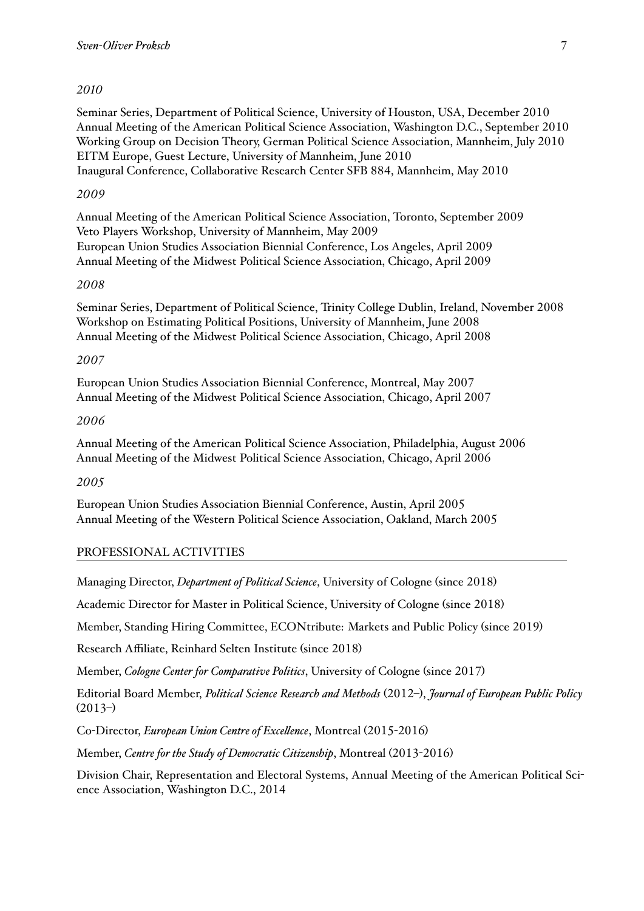# *2010*

Seminar Series, Department of Political Science, University of Houston, USA, December 2010 Annual Meeting of the American Political Science Association, Washington D.C., September 2010 Working Group on Decision Theory, German Political Science Association, Mannheim, July 2010 EITM Europe, Guest Lecture, University of Mannheim, June 2010 Inaugural Conference, Collaborative Research Center SFB 884, Mannheim, May 2010

## *2009*

Annual Meeting of the American Political Science Association, Toronto, September 2009 Veto Players Workshop, University of Mannheim, May 2009 European Union Studies Association Biennial Conference, Los Angeles, April 2009 Annual Meeting of the Midwest Political Science Association, Chicago, April 2009

## *2008*

Seminar Series, Department of Political Science, Trinity College Dublin, Ireland, November 2008 Workshop on Estimating Political Positions, University of Mannheim, June 2008 Annual Meeting of the Midwest Political Science Association, Chicago, April 2008

## *2007*

European Union Studies Association Biennial Conference, Montreal, May 2007 Annual Meeting of the Midwest Political Science Association, Chicago, April 2007

## *2006*

Annual Meeting of the American Political Science Association, Philadelphia, August 2006 Annual Meeting of the Midwest Political Science Association, Chicago, April 2006

# *2005*

European Union Studies Association Biennial Conference, Austin, April 2005 Annual Meeting of the Western Political Science Association, Oakland, March 2005

# PROFESSIONAL ACTIVITIES

Managing Director, *Department of Political Science*, University of Cologne (since 2018)

Academic Director for Master in Political Science, University of Cologne (since 2018)

Member, Standing Hiring Committee, ECONtribute: Markets and Public Policy (since 2019)

Research Affiliate, Reinhard Selten Institute (since 2018)

Member, *Cologne Center for Comparative Politics*, University of Cologne (since 2017)

Editorial Board Member, *Political Science Research and Methods* (2012–), *Journal of European Public Policy*  $(2013-)$ 

Co-Director, *European Union Centre of Excellence*, Montreal (2015-2016)

Member, *Centre for the Study of Democratic Citizenship*, Montreal (2013-2016)

Division Chair, Representation and Electoral Systems, Annual Meeting of the American Political Science Association, Washington D.C., 2014